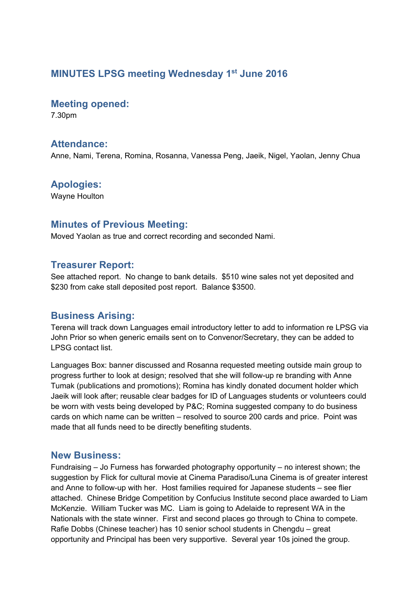## **MINUTES LPSG meeting Wednesday 1st June 2016**

#### **Meeting opened:**

7.30pm

## **Attendance:**

Anne, Nami, Terena, Romina, Rosanna, Vanessa Peng, Jaeik, Nigel, Yaolan, Jenny Chua

## **Apologies:**

Wayne Houlton

### **Minutes of Previous Meeting:**

Moved Yaolan as true and correct recording and seconded Nami.

### **Treasurer Report:**

See attached report. No change to bank details. \$510 wine sales not yet deposited and \$230 from cake stall deposited post report. Balance \$3500.

## **Business Arising:**

Terena will track down Languages email introductory letter to add to information re LPSG via John Prior so when generic emails sent on to Convenor/Secretary, they can be added to LPSG contact list.

Languages Box: banner discussed and Rosanna requested meeting outside main group to progress further to look at design; resolved that she will follow-up re branding with Anne Tumak (publications and promotions); Romina has kindly donated document holder which Jaeik will look after; reusable clear badges for ID of Languages students or volunteers could be worn with vests being developed by P&C; Romina suggested company to do business cards on which name can be written – resolved to source 200 cards and price. Point was made that all funds need to be directly benefiting students.

### **New Business:**

Fundraising – Jo Furness has forwarded photography opportunity – no interest shown; the suggestion by Flick for cultural movie at Cinema Paradiso/Luna Cinema is of greater interest and Anne to follow-up with her. Host families required for Japanese students – see flier attached. Chinese Bridge Competition by Confucius Institute second place awarded to Liam McKenzie. William Tucker was MC. Liam is going to Adelaide to represent WA in the Nationals with the state winner. First and second places go through to China to compete. Rafie Dobbs (Chinese teacher) has 10 senior school students in Chengdu – great opportunity and Principal has been very supportive. Several year 10s joined the group.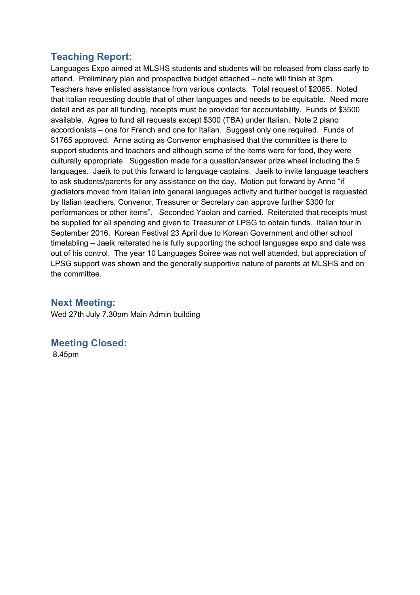## **Teaching Report:**

Languages Expo aimed at MLSHS students and students will be released from class early to attend. Preliminary plan and prospective budget attached – note will finish at 3pm. Teachers have enlisted assistance from various contacts. Total request of \$2065. Noted that Italian requesting double that of other languages and needs to be equitable. Need more detail and as per all funding, receipts must be provided for accountability. Funds of \$3500 available. Agree to fund all requests except \$300 (TBA) under Italian. Note 2 piano accordionists – one for French and one for Italian. Suggest only one required. Funds of \$1765 approved. Anne acting as Convenor emphasised that the committee is there to support students and teachers and although some of the items were for food, they were culturally appropriate. Suggestion made for a question/answer prize wheel including the 5 languages. Jaeik to put this forward to language captains. Jaeik to invite language teachers to ask students/parents for any assistance on the day. Motion put forward by Anne "if gladiators moved from Italian into general languages activity and further budget is requested by Italian teachers, Convenor, Treasurer or Secretary can approve further \$300 for performances or other items". Seconded Yaolan and carried. Reiterated that receipts must be supplied for all spending and given to Treasurer of LPSG to obtain funds. Italian tour in September 2016. Korean Festival 23 April due to Korean Government and other school timetabling – Jaeik reiterated he is fully supporting the school languages expo and date was out of his control. The year 10 Languages Soiree was not well attended, but appreciation of LPSG support was shown and the generally supportive nature of parents at MLSHS and on the committee.

## **Next Meeting:**

Wed 27th July 7.30pm Main Admin building

# **Meeting Closed:**

8.45pm